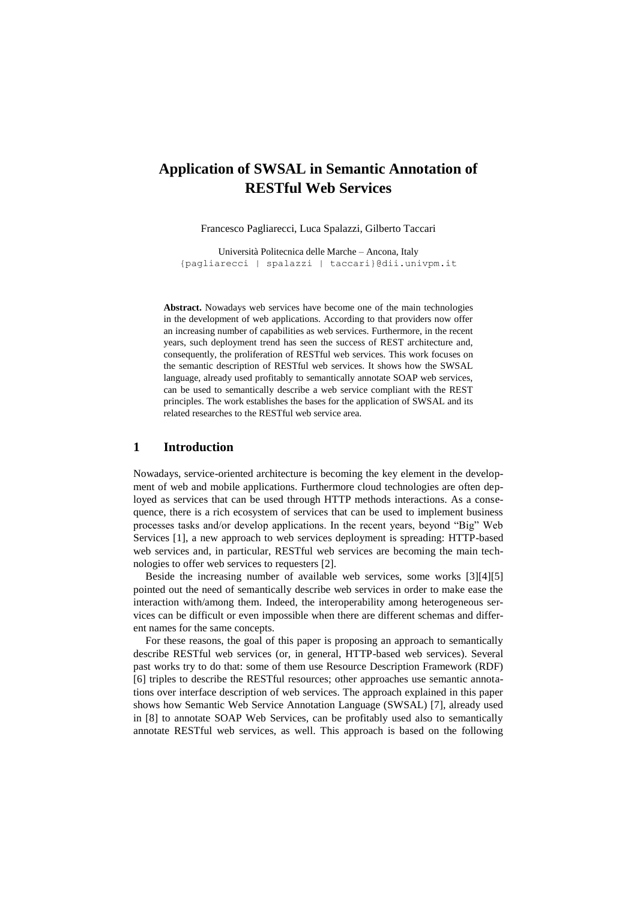# **Application of SWSAL in Semantic Annotation of RESTful Web Services**

Francesco Pagliarecci, Luca Spalazzi, Gilberto Taccari

Università Politecnica delle Marche – Ancona, Italy {pagliarecci | [spalazzi | taccari}@dii.univpm.it](mailto:spalazzi%20%7C%20taccari%7d@dii.univpm.it)

**Abstract.** Nowadays web services have become one of the main technologies in the development of web applications. According to that providers now offer an increasing number of capabilities as web services. Furthermore, in the recent years, such deployment trend has seen the success of REST architecture and, consequently, the proliferation of RESTful web services. This work focuses on the semantic description of RESTful web services. It shows how the SWSAL language, already used profitably to semantically annotate SOAP web services, can be used to semantically describe a web service compliant with the REST principles. The work establishes the bases for the application of SWSAL and its related researches to the RESTful web service area.

#### **1 Introduction**

Nowadays, service-oriented architecture is becoming the key element in the development of web and mobile applications. Furthermore cloud technologies are often deployed as services that can be used through HTTP methods interactions. As a consequence, there is a rich ecosystem of services that can be used to implement business processes tasks and/or develop applications. In the recent years, beyond "Big" Web Services [1], a new approach to web services deployment is spreading: HTTP-based web services and, in particular, RESTful web services are becoming the main technologies to offer web services to requesters [2].

Beside the increasing number of available web services, some works [3][4][5] pointed out the need of semantically describe web services in order to make ease the interaction with/among them. Indeed, the interoperability among heterogeneous services can be difficult or even impossible when there are different schemas and different names for the same concepts.

For these reasons, the goal of this paper is proposing an approach to semantically describe RESTful web services (or, in general, HTTP-based web services). Several past works try to do that: some of them use Resource Description Framework (RDF) [6] triples to describe the RESTful resources; other approaches use semantic annotations over interface description of web services. The approach explained in this paper shows how Semantic Web Service Annotation Language (SWSAL) [7], already used in [8] to annotate SOAP Web Services, can be profitably used also to semantically annotate RESTful web services, as well. This approach is based on the following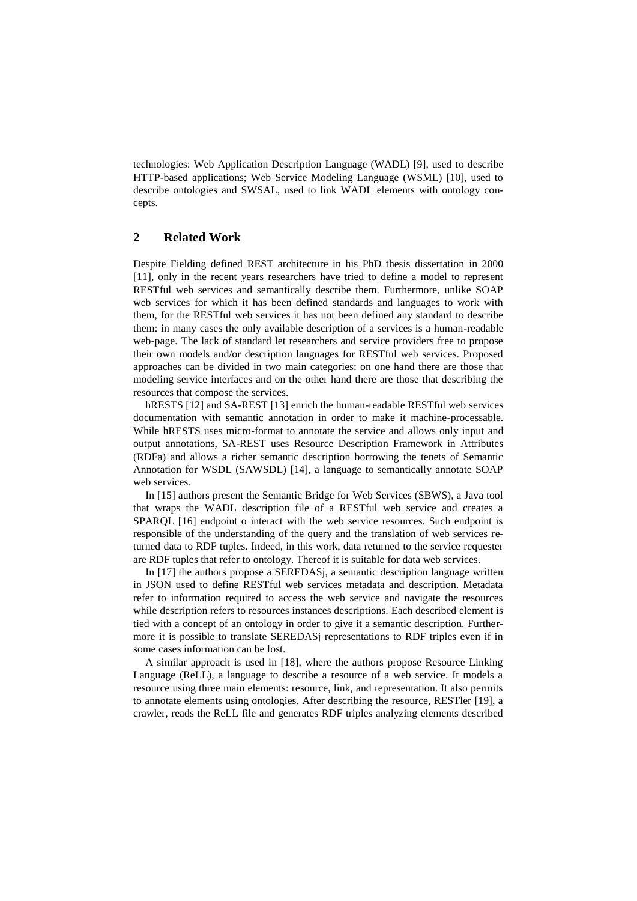technologies: Web Application Description Language (WADL) [9], used to describe HTTP-based applications; Web Service Modeling Language (WSML) [10], used to describe ontologies and SWSAL, used to link WADL elements with ontology concepts.

### **2 Related Work**

Despite Fielding defined REST architecture in his PhD thesis dissertation in 2000 [11], only in the recent years researchers have tried to define a model to represent RESTful web services and semantically describe them. Furthermore, unlike SOAP web services for which it has been defined standards and languages to work with them, for the RESTful web services it has not been defined any standard to describe them: in many cases the only available description of a services is a human-readable web-page. The lack of standard let researchers and service providers free to propose their own models and/or description languages for RESTful web services. Proposed approaches can be divided in two main categories: on one hand there are those that modeling service interfaces and on the other hand there are those that describing the resources that compose the services.

hRESTS [12] and SA-REST [13] enrich the human-readable RESTful web services documentation with semantic annotation in order to make it machine-processable. While hRESTS uses micro-format to annotate the service and allows only input and output annotations, SA-REST uses Resource Description Framework in Attributes (RDFa) and allows a richer semantic description borrowing the tenets of Semantic Annotation for WSDL (SAWSDL) [14], a language to semantically annotate SOAP web services.

In [15] authors present the Semantic Bridge for Web Services (SBWS), a Java tool that wraps the WADL description file of a RESTful web service and creates a SPARQL [16] endpoint o interact with the web service resources. Such endpoint is responsible of the understanding of the query and the translation of web services returned data to RDF tuples. Indeed, in this work, data returned to the service requester are RDF tuples that refer to ontology. Thereof it is suitable for data web services.

In [17] the authors propose a SEREDASj, a semantic description language written in JSON used to define RESTful web services metadata and description. Metadata refer to information required to access the web service and navigate the resources while description refers to resources instances descriptions. Each described element is tied with a concept of an ontology in order to give it a semantic description. Furthermore it is possible to translate SEREDASj representations to RDF triples even if in some cases information can be lost.

A similar approach is used in [18], where the authors propose Resource Linking Language (ReLL), a language to describe a resource of a web service. It models a resource using three main elements: resource, link, and representation. It also permits to annotate elements using ontologies. After describing the resource, RESTler [19], a crawler, reads the ReLL file and generates RDF triples analyzing elements described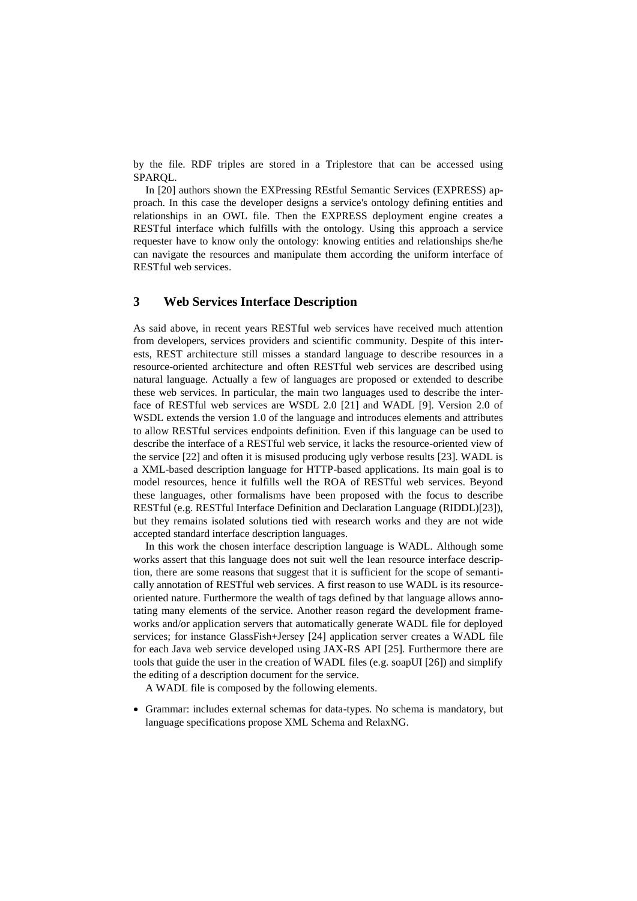by the file. RDF triples are stored in a Triplestore that can be accessed using SPARQL.

In [20] authors shown the EXPressing REstful Semantic Services (EXPRESS) approach. In this case the developer designs a service's ontology defining entities and relationships in an OWL file. Then the EXPRESS deployment engine creates a RESTful interface which fulfills with the ontology. Using this approach a service requester have to know only the ontology: knowing entities and relationships she/he can navigate the resources and manipulate them according the uniform interface of RESTful web services.

### **3 Web Services Interface Description**

As said above, in recent years RESTful web services have received much attention from developers, services providers and scientific community. Despite of this interests, REST architecture still misses a standard language to describe resources in a resource-oriented architecture and often RESTful web services are described using natural language. Actually a few of languages are proposed or extended to describe these web services. In particular, the main two languages used to describe the interface of RESTful web services are WSDL 2.0 [21] and WADL [9]. Version 2.0 of WSDL extends the version 1.0 of the language and introduces elements and attributes to allow RESTful services endpoints definition. Even if this language can be used to describe the interface of a RESTful web service, it lacks the resource-oriented view of the service [22] and often it is misused producing ugly verbose results [23]. WADL is a XML-based description language for HTTP-based applications. Its main goal is to model resources, hence it fulfills well the ROA of RESTful web services. Beyond these languages, other formalisms have been proposed with the focus to describe RESTful (e.g. RESTful Interface Definition and Declaration Language (RIDDL)[23]), but they remains isolated solutions tied with research works and they are not wide accepted standard interface description languages.

In this work the chosen interface description language is WADL. Although some works assert that this language does not suit well the lean resource interface description, there are some reasons that suggest that it is sufficient for the scope of semantically annotation of RESTful web services. A first reason to use WADL is its resourceoriented nature. Furthermore the wealth of tags defined by that language allows annotating many elements of the service. Another reason regard the development frameworks and/or application servers that automatically generate WADL file for deployed services; for instance GlassFish+Jersey [24] application server creates a WADL file for each Java web service developed using JAX-RS API [25]. Furthermore there are tools that guide the user in the creation of WADL files (e.g. soapUI [26]) and simplify the editing of a description document for the service.

A WADL file is composed by the following elements.

 Grammar: includes external schemas for data-types. No schema is mandatory, but language specifications propose XML Schema and RelaxNG.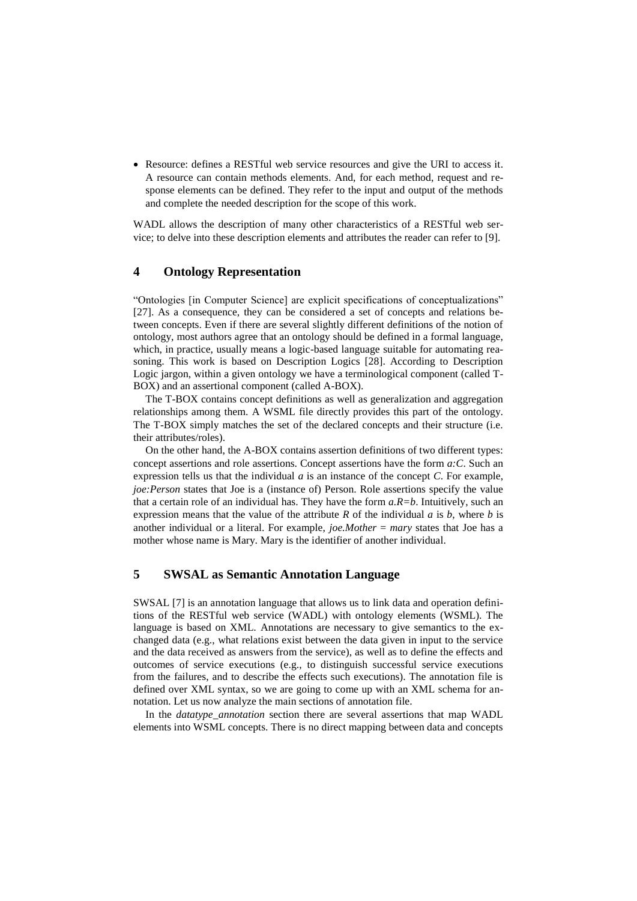Resource: defines a RESTful web service resources and give the URI to access it. A resource can contain methods elements. And, for each method, request and response elements can be defined. They refer to the input and output of the methods and complete the needed description for the scope of this work.

WADL allows the description of many other characteristics of a RESTful web service; to delve into these description elements and attributes the reader can refer to [9].

#### **4 Ontology Representation**

―Ontologies [in Computer Science] are explicit specifications of conceptualizations‖ [27]. As a consequence, they can be considered a set of concepts and relations between concepts. Even if there are several slightly different definitions of the notion of ontology, most authors agree that an ontology should be defined in a formal language, which, in practice, usually means a logic-based language suitable for automating reasoning. This work is based on Description Logics [28]. According to Description Logic jargon, within a given ontology we have a terminological component (called T-BOX) and an assertional component (called A-BOX).

The T-BOX contains concept definitions as well as generalization and aggregation relationships among them. A WSML file directly provides this part of the ontology. The T-BOX simply matches the set of the declared concepts and their structure (i.e. their attributes/roles).

On the other hand, the A-BOX contains assertion definitions of two different types: concept assertions and role assertions. Concept assertions have the form *a:C*. Such an expression tells us that the individual *a* is an instance of the concept *C*. For example, *joe:Person* states that Joe is a (instance of) Person. Role assertions specify the value that a certain role of an individual has. They have the form *a.R=b*. Intuitively, such an expression means that the value of the attribute *R* of the individual *a* is *b*, where *b* is another individual or a literal. For example, *joe.Mother* = *mary* states that Joe has a mother whose name is Mary. Mary is the identifier of another individual.

### **5 SWSAL as Semantic Annotation Language**

SWSAL [7] is an annotation language that allows us to link data and operation definitions of the RESTful web service (WADL) with ontology elements (WSML). The language is based on XML. Annotations are necessary to give semantics to the exchanged data (e.g., what relations exist between the data given in input to the service and the data received as answers from the service), as well as to define the effects and outcomes of service executions (e.g., to distinguish successful service executions from the failures, and to describe the effects such executions). The annotation file is defined over XML syntax, so we are going to come up with an XML schema for annotation. Let us now analyze the main sections of annotation file.

In the *datatype\_annotation* section there are several assertions that map WADL elements into WSML concepts. There is no direct mapping between data and concepts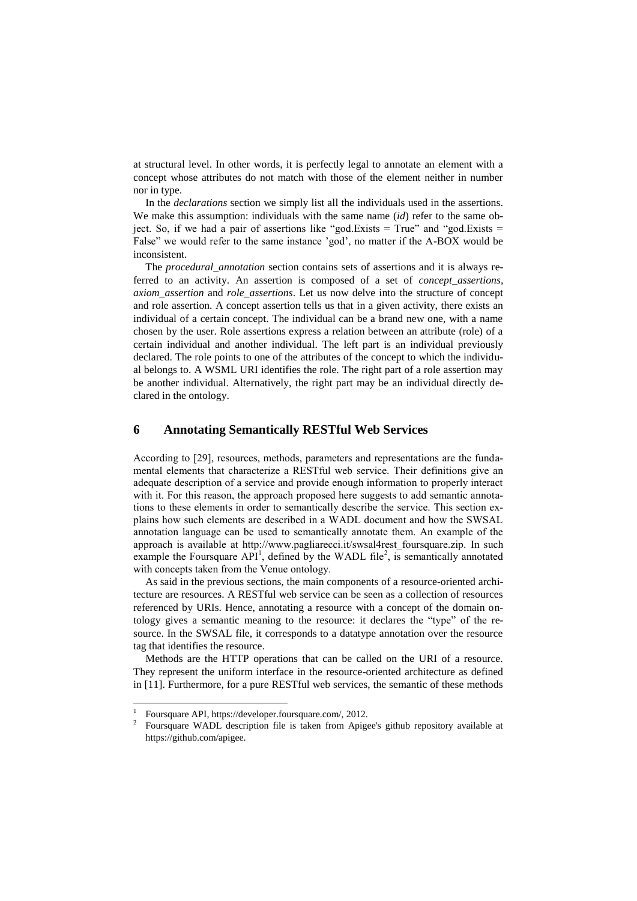at structural level. In other words, it is perfectly legal to annotate an element with a concept whose attributes do not match with those of the element neither in number nor in type.

In the *declarations* section we simply list all the individuals used in the assertions. We make this assumption: individuals with the same name (*id*) refer to the same object. So, if we had a pair of assertions like "god.Exists = True" and "god.Exists = False" we would refer to the same instance 'god', no matter if the A-BOX would be inconsistent.

The *procedural\_annotation* section contains sets of assertions and it is always referred to an activity. An assertion is composed of a set of *concept\_assertions*, *axiom\_assertion* and *role\_assertions*. Let us now delve into the structure of concept and role assertion. A concept assertion tells us that in a given activity, there exists an individual of a certain concept. The individual can be a brand new one, with a name chosen by the user. Role assertions express a relation between an attribute (role) of a certain individual and another individual. The left part is an individual previously declared. The role points to one of the attributes of the concept to which the individual belongs to. A WSML URI identifies the role. The right part of a role assertion may be another individual. Alternatively, the right part may be an individual directly declared in the ontology.

#### **6 Annotating Semantically RESTful Web Services**

According to [29], resources, methods, parameters and representations are the fundamental elements that characterize a RESTful web service. Their definitions give an adequate description of a service and provide enough information to properly interact with it. For this reason, the approach proposed here suggests to add semantic annotations to these elements in order to semantically describe the service. This section explains how such elements are described in a WADL document and how the SWSAL annotation language can be used to semantically annotate them. An example of the approach is available at http://www.pagliarecci.it/swsal4rest\_foursquare.zip. In such example the Foursquare  $API^1$ , defined by the WADL file<sup>2</sup>, is semantically annotated with concepts taken from the Venue ontology.

As said in the previous sections, the main components of a resource-oriented architecture are resources. A RESTful web service can be seen as a collection of resources referenced by URIs. Hence, annotating a resource with a concept of the domain ontology gives a semantic meaning to the resource: it declares the "type" of the resource. In the SWSAL file, it corresponds to a datatype annotation over the resource tag that identifies the resource.

Methods are the HTTP operations that can be called on the URI of a resource. They represent the uniform interface in the resource-oriented architecture as defined in [11]. Furthermore, for a pure RESTful web services, the semantic of these methods

l

<sup>1</sup> Foursquare API, https://developer.foursquare.com/, 2012.

<sup>2</sup> Foursquare WADL description file is taken from Apigee's github repository available at https://github.com/apigee.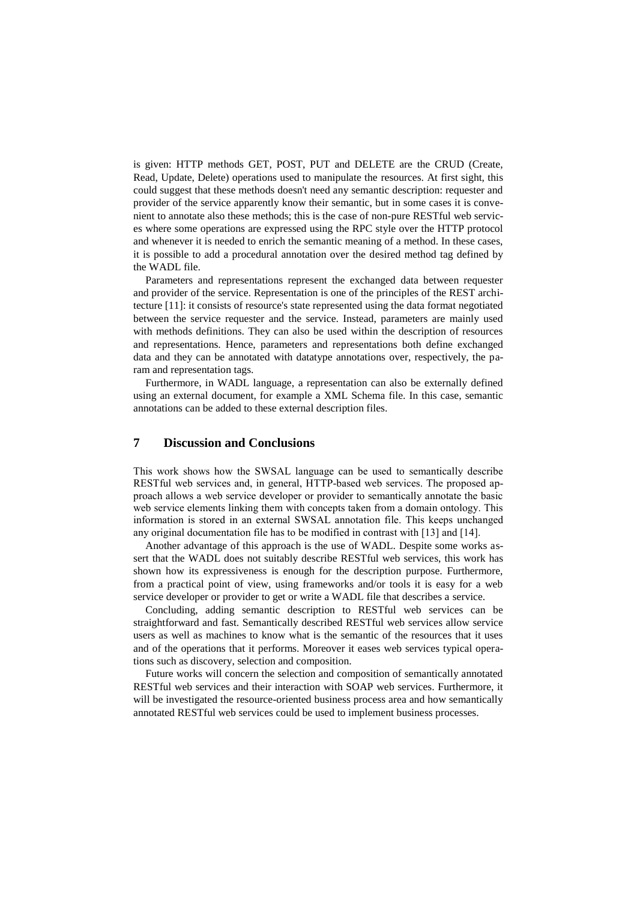is given: HTTP methods GET, POST, PUT and DELETE are the CRUD (Create, Read, Update, Delete) operations used to manipulate the resources. At first sight, this could suggest that these methods doesn't need any semantic description: requester and provider of the service apparently know their semantic, but in some cases it is convenient to annotate also these methods; this is the case of non-pure RESTful web services where some operations are expressed using the RPC style over the HTTP protocol and whenever it is needed to enrich the semantic meaning of a method. In these cases, it is possible to add a procedural annotation over the desired method tag defined by the WADL file.

Parameters and representations represent the exchanged data between requester and provider of the service. Representation is one of the principles of the REST architecture [11]: it consists of resource's state represented using the data format negotiated between the service requester and the service. Instead, parameters are mainly used with methods definitions. They can also be used within the description of resources and representations. Hence, parameters and representations both define exchanged data and they can be annotated with datatype annotations over, respectively, the param and representation tags.

Furthermore, in WADL language, a representation can also be externally defined using an external document, for example a XML Schema file. In this case, semantic annotations can be added to these external description files.

## **7 Discussion and Conclusions**

This work shows how the SWSAL language can be used to semantically describe RESTful web services and, in general, HTTP-based web services. The proposed approach allows a web service developer or provider to semantically annotate the basic web service elements linking them with concepts taken from a domain ontology. This information is stored in an external SWSAL annotation file. This keeps unchanged any original documentation file has to be modified in contrast with [13] and [14].

Another advantage of this approach is the use of WADL. Despite some works assert that the WADL does not suitably describe RESTful web services, this work has shown how its expressiveness is enough for the description purpose. Furthermore, from a practical point of view, using frameworks and/or tools it is easy for a web service developer or provider to get or write a WADL file that describes a service.

Concluding, adding semantic description to RESTful web services can be straightforward and fast. Semantically described RESTful web services allow service users as well as machines to know what is the semantic of the resources that it uses and of the operations that it performs. Moreover it eases web services typical operations such as discovery, selection and composition.

Future works will concern the selection and composition of semantically annotated RESTful web services and their interaction with SOAP web services. Furthermore, it will be investigated the resource-oriented business process area and how semantically annotated RESTful web services could be used to implement business processes.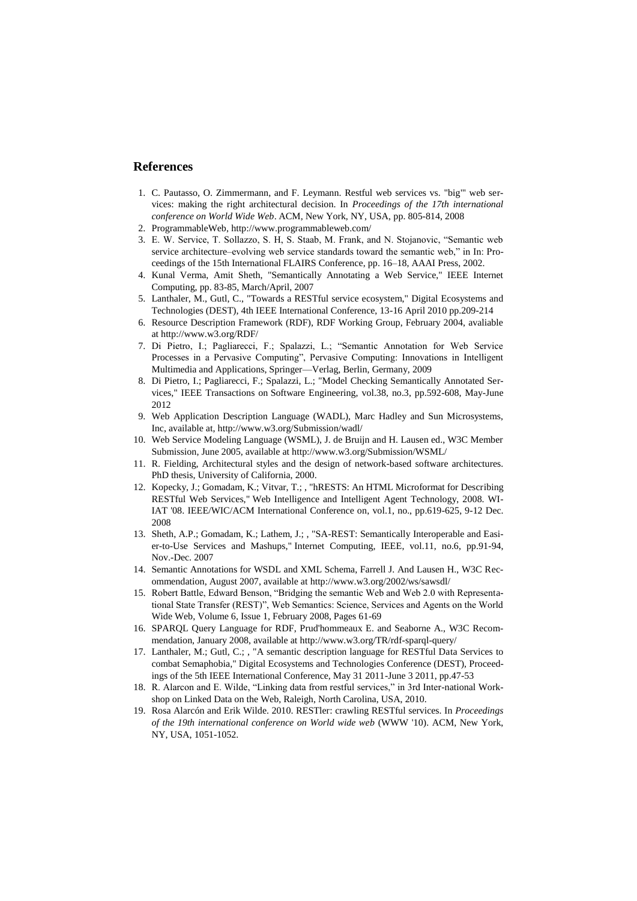### **References**

- 1. C. Pautasso, O. Zimmermann, and F. Leymann. Restful web services vs. "big"' web services: making the right architectural decision. In *Proceedings of the 17th international conference on World Wide Web*. ACM, New York, NY, USA, pp. 805-814, 2008
- 2. ProgrammableWeb,<http://www.programmableweb.com/>
- 3. E. W. Service, T. Sollazzo, S. H, S. Staab, M. Frank, and N. Stojanovic, "Semantic web service architecture–evolving web service standards toward the semantic web," in In: Proceedings of the 15th International FLAIRS Conference, pp. 16–18, AAAI Press, 2002.
- 4. Kunal Verma, Amit Sheth, "Semantically Annotating a Web Service," IEEE Internet Computing, pp. 83-85, March/April, 2007
- 5. Lanthaler, M., Gutl, C., "Towards a RESTful service ecosystem," Digital Ecosystems and Technologies (DEST), 4th IEEE International Conference, 13-16 April 2010 pp.209-214
- 6. Resource Description Framework (RDF), RDF Working Group, February 2004, avaliable a[t http://www.w3.org/RDF/](http://www.w3.org/RDF/)
- 7. Di Pietro, I.; Pagliarecci, F.; Spalazzi, L.; "Semantic Annotation for Web Service Processes in a Pervasive Computing", Pervasive Computing: Innovations in Intelligent Multimedia and Applications, Springer—Verlag, Berlin, Germany, 2009
- 8. Di Pietro, I.; Pagliarecci, F.; Spalazzi, L.; "Model Checking Semantically Annotated Services," IEEE Transactions on Software Engineering, vol.38, no.3, pp.592-608, May-June 2012
- 9. Web Application Description Language (WADL), Marc Hadley and Sun Microsystems, Inc, available at[, http://www.w3.org/Submission/wadl/](http://www.w3.org/Submission/wadl/)
- 10. Web Service Modeling Language (WSML), J. de Bruijn and H. Lausen ed., W3C Member Submission, June 2005, available at http://www.w3.org/Submission/WSML/
- 11. R. Fielding, Architectural styles and the design of network-based software architectures. PhD thesis, University of California, 2000.
- 12. Kopecky, J.; Gomadam, K.; Vitvar, T.; , "hRESTS: An HTML Microformat for Describing RESTful Web Services," Web Intelligence and Intelligent Agent Technology, 2008. WI-IAT '08. IEEE/WIC/ACM International Conference on, vol.1, no., pp.619-625, 9-12 Dec. 2008
- 13. Sheth, A.P.; Gomadam, K.; Lathem, J.; , "SA-REST: Semantically Interoperable and Easier-to-Use Services and Mashups," Internet Computing, IEEE, vol.11, no.6, pp.91-94, Nov.-Dec. 2007
- 14. Semantic Annotations for WSDL and XML Schema, Farrell J. And Lausen H., W3C Recommendation, August 2007, available at<http://www.w3.org/2002/ws/sawsdl/>
- 15. Robert Battle, Edward Benson, "Bridging the semantic Web and Web 2.0 with Representational State Transfer (REST)", Web Semantics: Science, Services and Agents on the World Wide Web, Volume 6, Issue 1, February 2008, Pages 61-69
- 16. SPARQL Query Language for RDF, Prud'hommeaux E. and Seaborne A., W3C Recommendation, January 2008, available a[t http://www.w3.org/TR/rdf-sparql-query/](http://www.w3.org/TR/rdf-sparql-query/)
- 17. Lanthaler, M.; Gutl, C.; , "A semantic description language for RESTful Data Services to combat Semaphobia," Digital Ecosystems and Technologies Conference (DEST), Proceedings of the 5th IEEE International Conference, May 31 2011-June 3 2011, pp.47-53
- 18. R. Alarcon and E. Wilde, "Linking data from restful services," in 3rd Inter-national Workshop on Linked Data on the Web, Raleigh, North Carolina, USA, 2010.
- 19. Rosa Alarcón and Erik Wilde. 2010. RESTler: crawling RESTful services. In *Proceedings of the 19th international conference on World wide web* (WWW '10). ACM, New York, NY, USA, 1051-1052.